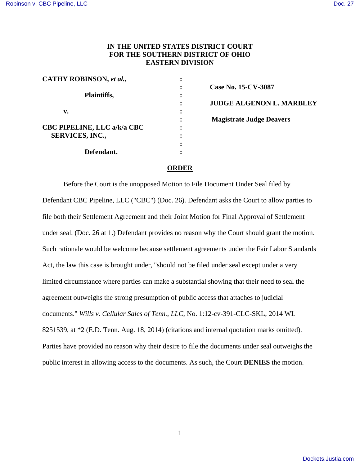## **IN THE UNITED STATES DISTRICT COURT FOR THE SOUTHERN DISTRICT OF OHIO EASTERN DIVISION**

| CATHY ROBINSON, et al.,            |  |
|------------------------------------|--|
|                                    |  |
| Plaintiffs,                        |  |
|                                    |  |
| v.                                 |  |
|                                    |  |
| <b>CBC PIPELINE, LLC a/k/a CBC</b> |  |
| <b>SERVICES, INC.,</b>             |  |
|                                    |  |
| Defendant.                         |  |

**: Case No. 15-CV-3087 : JUDGE ALGENON L. MARBLEY Magistrate Judge Deavers** 

## **ORDER**

 Before the Court is the unopposed Motion to File Document Under Seal filed by Defendant CBC Pipeline, LLC ("CBC") (Doc. 26). Defendant asks the Court to allow parties to file both their Settlement Agreement and their Joint Motion for Final Approval of Settlement under seal. (Doc. 26 at 1.) Defendant provides no reason why the Court should grant the motion. Such rationale would be welcome because settlement agreements under the Fair Labor Standards Act, the law this case is brought under, "should not be filed under seal except under a very limited circumstance where parties can make a substantial showing that their need to seal the agreement outweighs the strong presumption of public access that attaches to judicial documents." *Wills v. Cellular Sales of Tenn., LLC*, No. 1:12-cv-391-CLC-SKL, 2014 WL 8251539, at \*2 (E.D. Tenn. Aug. 18, 2014) (citations and internal quotation marks omitted). Parties have provided no reason why their desire to file the documents under seal outweighs the public interest in allowing access to the documents. As such, the Court **DENIES** the motion.